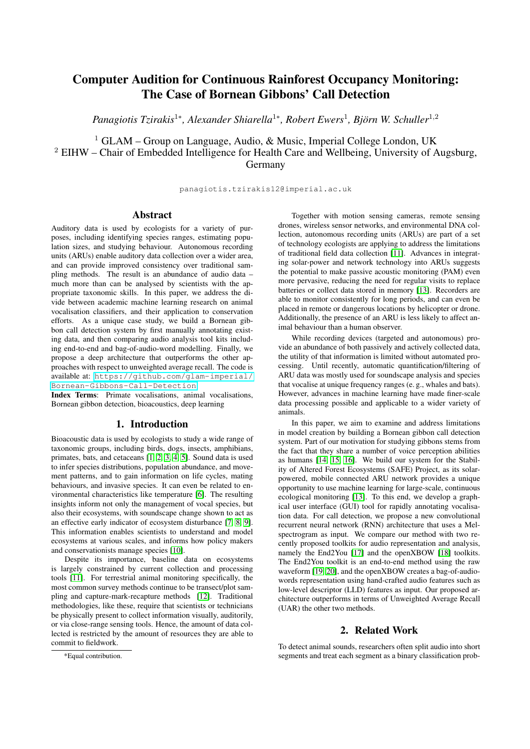# Computer Audition for Continuous Rainforest Occupancy Monitoring: The Case of Bornean Gibbons' Call Detection

*Panagiotis Tzirakis*<sup>1</sup>\*, Alexander Shiarella<sup>1</sup>\*, Robert Ewers<sup>1</sup>, Björn W. Schuller<sup>1,2</sup>

<sup>1</sup> GLAM – Group on Language, Audio, & Music, Imperial College London, UK <sup>2</sup> EIHW – Chair of Embedded Intelligence for Health Care and Wellbeing, University of Augsburg, Germany

panagiotis.tzirakis12@imperial.ac.uk

### Abstract

Auditory data is used by ecologists for a variety of purposes, including identifying species ranges, estimating population sizes, and studying behaviour. Autonomous recording units (ARUs) enable auditory data collection over a wider area, and can provide improved consistency over traditional sampling methods. The result is an abundance of audio data – much more than can be analysed by scientists with the appropriate taxonomic skills. In this paper, we address the divide between academic machine learning research on animal vocalisation classifiers, and their application to conservation efforts. As a unique case study, we build a Bornean gibbon call detection system by first manually annotating existing data, and then comparing audio analysis tool kits including end-to-end and bag-of-audio-word modelling. Finally, we propose a deep architecture that outperforms the other approaches with respect to unweighted average recall. The code is available at: [https://github.com/glam-imperial/](https://github.com/glam-imperial/Bornean-Gibbons-Call-Detection) [Bornean-Gibbons-Call-Detection](https://github.com/glam-imperial/Bornean-Gibbons-Call-Detection)

Index Terms: Primate vocalisations, animal vocalisations, Bornean gibbon detection, bioacoustics, deep learning

### 1. Introduction

Bioacoustic data is used by ecologists to study a wide range of taxonomic groups, including birds, dogs, insects, amphibians, primates, bats, and cetaceans [\[1,](#page-4-0) [2,](#page-4-1) [3,](#page-4-2) [4,](#page-4-3) [5\]](#page-4-4). Sound data is used to infer species distributions, population abundance, and movement patterns, and to gain information on life cycles, mating behaviours, and invasive species. It can even be related to environmental characteristics like temperature [\[6\]](#page-4-5). The resulting insights inform not only the management of vocal species, but also their ecosystems, with soundscape change shown to act as an effective early indicator of ecosystem disturbance [\[7,](#page-4-6) [8,](#page-4-7) [9\]](#page-4-8). This information enables scientists to understand and model ecosystems at various scales, and informs how policy makers and conservationists manage species [\[10\]](#page-4-9).

Despite its importance, baseline data on ecosystems is largely constrained by current collection and processing tools [\[11\]](#page-4-10). For terrestrial animal monitoring specifically, the most common survey methods continue to be transect/plot sampling and capture-mark-recapture methods [\[12\]](#page-4-11). Traditional methodologies, like these, require that scientists or technicians be physically present to collect information visually, auditorily, or via close-range sensing tools. Hence, the amount of data collected is restricted by the amount of resources they are able to commit to fieldwork.

Together with motion sensing cameras, remote sensing drones, wireless sensor networks, and environmental DNA collection, autonomous recording units (ARUs) are part of a set of technology ecologists are applying to address the limitations of traditional field data collection [\[11\]](#page-4-10). Advances in integrating solar-power and network technology into ARUs suggests the potential to make passive acoustic monitoring (PAM) even more pervasive, reducing the need for regular visits to replace batteries or collect data stored in memory [\[13\]](#page-4-12). Recorders are able to monitor consistently for long periods, and can even be placed in remote or dangerous locations by helicopter or drone. Additionally, the presence of an ARU is less likely to affect animal behaviour than a human observer.

While recording devices (targeted and autonomous) provide an abundance of both passively and actively collected data, the utility of that information is limited without automated processing. Until recently, automatic quantification/filtering of ARU data was mostly used for soundscape analysis and species that vocalise at unique frequency ranges (e. g., whales and bats). However, advances in machine learning have made finer-scale data processing possible and applicable to a wider variety of animals.

In this paper, we aim to examine and address limitations in model creation by building a Bornean gibbon call detection system. Part of our motivation for studying gibbons stems from the fact that they share a number of voice perception abilities as humans [\[14,](#page-4-13) [15,](#page-4-14) [16\]](#page-4-15). We build our system for the Stability of Altered Forest Ecosystems (SAFE) Project, as its solarpowered, mobile connected ARU network provides a unique opportunity to use machine learning for large-scale, continuous ecological monitoring [\[13\]](#page-4-12). To this end, we develop a graphical user interface (GUI) tool for rapidly annotating vocalisation data. For call detection, we propose a new convolutional recurrent neural network (RNN) architecture that uses a Melspectrogram as input. We compare our method with two recently proposed toolkits for audio representation and analysis, namely the End2You [\[17\]](#page-4-16) and the openXBOW [\[18\]](#page-4-17) toolkits. The End2You toolkit is an end-to-end method using the raw waveform [\[19,](#page-4-18) [20\]](#page-4-19), and the openXBOW creates a bag-of-audiowords representation using hand-crafted audio features such as low-level descriptor (LLD) features as input. Our proposed architecture outperforms in terms of Unweighted Average Recall (UAR) the other two methods.

# 2. Related Work

To detect animal sounds, researchers often split audio into short segments and treat each segment as a binary classification prob-

<sup>\*</sup>Equal contribution.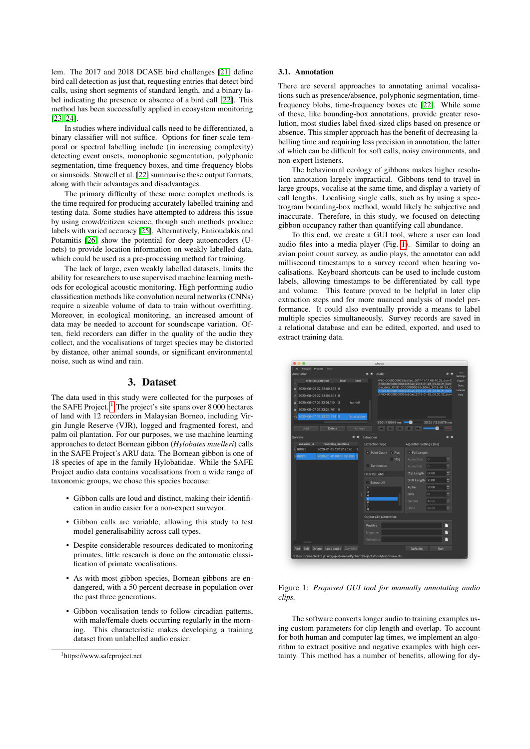lem. The 2017 and 2018 DCASE bird challenges [\[21\]](#page-4-20) define bird call detection as just that, requesting entries that detect bird calls, using short segments of standard length, and a binary label indicating the presence or absence of a bird call [\[22\]](#page-4-21). This method has been successfully applied in ecosystem monitoring [\[23,](#page-4-22) [24\]](#page-4-23).

In studies where individual calls need to be differentiated, a binary classifier will not suffice. Options for finer-scale temporal or spectral labelling include (in increasing complexity) detecting event onsets, monophonic segmentation, polyphonic segmentation, time-frequency boxes, and time-frequency blobs or sinusoids. Stowell et al. [\[22\]](#page-4-21) summarise these output formats, along with their advantages and disadvantages.

The primary difficulty of these more complex methods is the time required for producing accurately labelled training and testing data. Some studies have attempted to address this issue by using crowd/citizen science, though such methods produce labels with varied accuracy [\[25\]](#page-4-24). Alternatively, Fanioudakis and Potamitis [\[26\]](#page-4-25) show the potential for deep autoencoders (Unets) to provide location information on weakly labelled data, which could be used as a pre-processing method for training.

The lack of large, even weakly labelled datasets, limits the ability for researchers to use supervised machine learning methods for ecological acoustic monitoring. High performing audio classification methods like convolution neural networks (CNNs) require a sizeable volume of data to train without overfitting. Moreover, in ecological monitoring, an increased amount of data may be needed to account for soundscape variation. Often, field recorders can differ in the quality of the audio they collect, and the vocalisations of target species may be distorted by distance, other animal sounds, or significant environmental noise, such as wind and rain.

#### 3. Dataset

The data used in this study were collected for the purposes of the SAFE Project.  $\frac{1}{1}$  $\frac{1}{1}$  $\frac{1}{1}$  The project's site spans over 8 000 hectares of land with 12 recorders in Malaysian Borneo, including Virgin Jungle Reserve (VJR), logged and fragmented forest, and palm oil plantation. For our purposes, we use machine learning approaches to detect Bornean gibbon (*Hylobates muelleri*) calls in the SAFE Project's ARU data. The Bornean gibbon is one of 18 species of ape in the family Hylobatidae. While the SAFE Project audio data contains vocalisations from a wide range of taxonomic groups, we chose this species because:

- Gibbon calls are loud and distinct, making their identification in audio easier for a non-expert surveyor.
- Gibbon calls are variable, allowing this study to test model generalisability across call types.
- Despite considerable resources dedicated to monitoring primates, little research is done on the automatic classification of primate vocalisations.
- As with most gibbon species, Bornean gibbons are endangered, with a 50 percent decrease in population over the past three generations.
- Gibbon vocalisation tends to follow circadian patterns, with male/female duets occurring regularly in the morning. This characteristic makes developing a training dataset from unlabelled audio easier.

#### 3.1. Annotation

There are several approaches to annotating animal vocalisations such as presence/absence, polyphonic segmentation, timefrequency blobs, time-frequency boxes etc [\[22\]](#page-4-21). While some of these, like bounding-box annotations, provide greater resolution, most studies label fixed-sized clips based on presence or absence. This simpler approach has the benefit of decreasing labelling time and requiring less precision in annotation, the latter of which can be difficult for soft calls, noisy environments, and non-expert listeners.

The behavioural ecology of gibbons makes higher resolution annotation largely impractical. Gibbons tend to travel in large groups, vocalise at the same time, and display a variety of call lengths. Localising single calls, such as by using a spectrogram bounding-box method, would likely be subjective and inaccurate. Therefore, in this study, we focused on detecting gibbon occupancy rather than quantifying call abundance.

To this end, we create a GUI tool, where a user can load audio files into a media player (Fig. [1\)](#page-1-1). Similar to doing an avian point count survey, as audio plays, the annotator can add millisecond timestamps to a survey record when hearing vocalisations. Keyboard shortcuts can be used to include custom labels, allowing timestamps to be differentiated by call type and volume. This feature proved to be helpful in later clip extraction steps and for more nuanced analysis of model performance. It could also eventually provide a means to label multiple species simultaneously. Survey records are saved in a relational database and can be edited, exported, and used to extract training data.

<span id="page-1-1"></span>

Figure 1: *Proposed GUI tool for manually annotating audio clips.*

The software converts longer audio to training examples using custom parameters for clip length and overlap. To account for both human and computer lag times, we implement an algorithm to extract positive and negative examples with high certainty. This method has a number of benefits, allowing for dy-

<span id="page-1-0"></span><sup>1</sup>https://www.safeproject.net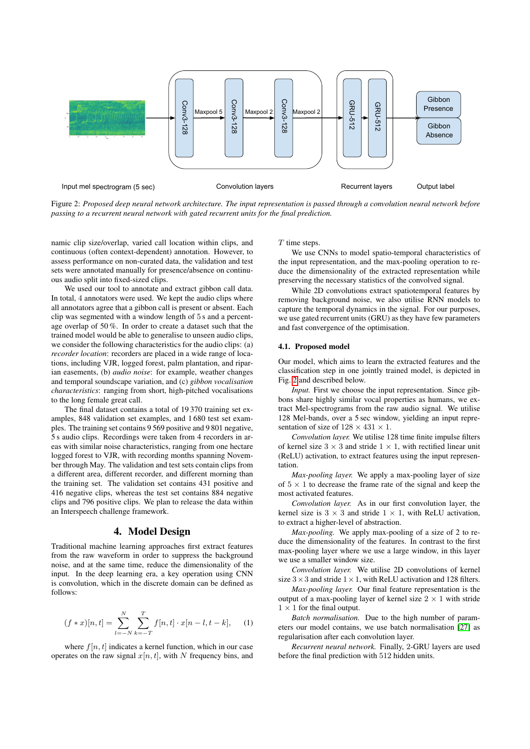<span id="page-2-0"></span>

Figure 2: *Proposed deep neural network architecture. The input representation is passed through a convolution neural network before passing to a recurrent neural network with gated recurrent units for the final prediction.*

namic clip size/overlap, varied call location within clips, and continuous (often context-dependent) annotation. However, to assess performance on non-curated data, the validation and test sets were annotated manually for presence/absence on continuous audio split into fixed-sized clips.

We used our tool to annotate and extract gibbon call data. In total, 4 annotators were used. We kept the audio clips where all annotators agree that a gibbon call is present or absent. Each clip was segmented with a window length of 5 s and a percentage overlap of 50 %. In order to create a dataset such that the trained model would be able to generalise to unseen audio clips, we consider the following characteristics for the audio clips: (a) *recorder location*: recorders are placed in a wide range of locations, including VJR, logged forest, palm plantation, and riparian easements, (b) *audio noise*: for example, weather changes and temporal soundscape variation, and (c) *gibbon vocalisation characteristics*: ranging from short, high-pitched vocalisations to the long female great call.

The final dataset contains a total of 19 370 training set examples, 848 validation set examples, and 1 680 test set examples. The training set contains 9 569 positive and 9 801 negative, 5 s audio clips. Recordings were taken from 4 recorders in areas with similar noise characteristics, ranging from one hectare logged forest to VJR, with recording months spanning November through May. The validation and test sets contain clips from a different area, different recorder, and different morning than the training set. The validation set contains 431 positive and 416 negative clips, whereas the test set contains 884 negative clips and 796 positive clips. We plan to release the data within an Interspeech challenge framework.

### 4. Model Design

Traditional machine learning approaches first extract features from the raw waveform in order to suppress the background noise, and at the same time, reduce the dimensionality of the input. In the deep learning era, a key operation using CNN is convolution, which in the discrete domain can be defined as follows:

$$
(f * x)[n, t] = \sum_{l=-N}^{N} \sum_{k=-T}^{T} f[n, t] \cdot x[n-l, t-k], \quad (1)
$$

where  $f[n, t]$  indicates a kernel function, which in our case operates on the raw signal  $x[n, t]$ , with N frequency bins, and T time steps.

We use CNNs to model spatio-temporal characteristics of the input representation, and the max-pooling operation to reduce the dimensionality of the extracted representation while preserving the necessary statistics of the convolved signal.

While 2D convolutions extract spatiotemporal features by removing background noise, we also utilise RNN models to capture the temporal dynamics in the signal. For our purposes, we use gated recurrent units (GRU) as they have few parameters and fast convergence of the optimisation.

#### 4.1. Proposed model

Our model, which aims to learn the extracted features and the classification step in one jointly trained model, is depicted in Fig. [2](#page-2-0) and described below.

*Input.* First we choose the input representation. Since gibbons share highly similar vocal properties as humans, we extract Mel-spectrograms from the raw audio signal. We utilise 128 Mel-bands, over a 5 sec window, yielding an input representation of size of  $128 \times 431 \times 1$ .

*Convolution layer.* We utilise 128 time finite impulse filters of kernel size  $3 \times 3$  and stride  $1 \times 1$ , with rectified linear unit (ReLU) activation, to extract features using the input representation.

*Max-pooling layer.* We apply a max-pooling layer of size of  $5 \times 1$  to decrease the frame rate of the signal and keep the most activated features.

*Convolution layer.* As in our first convolution layer, the kernel size is  $3 \times 3$  and stride  $1 \times 1$ , with ReLU activation, to extract a higher-level of abstraction.

*Max-pooling.* We apply max-pooling of a size of 2 to reduce the dimensionality of the features. In contrast to the first max-pooling layer where we use a large window, in this layer we use a smaller window size.

*Convolution layer.* We utilise 2D convolutions of kernel size  $3 \times 3$  and stride  $1 \times 1$ , with ReLU activation and 128 filters.

*Max-pooling layer.* Our final feature representation is the output of a max-pooling layer of kernel size  $2 \times 1$  with stride  $1 \times 1$  for the final output.

*Batch normalisation.* Due to the high number of parameters our model contains, we use batch normalisation [\[27\]](#page-4-26) as regularisation after each convolution layer.

*Recurrent neural network.* Finally, 2-GRU layers are used before the final prediction with 512 hidden units.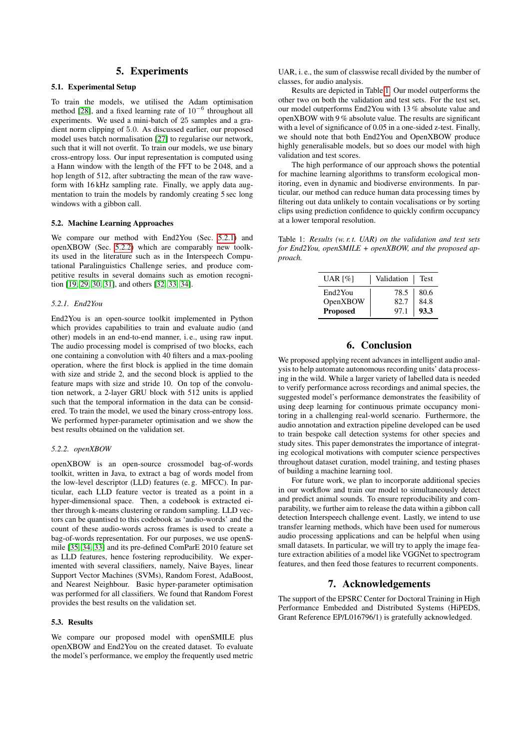### 5. Experiments

#### 5.1. Experimental Setup

To train the models, we utilised the Adam optimisation method [\[28\]](#page-4-27), and a fixed learning rate of  $10^{-6}$  throughout all experiments. We used a mini-batch of 25 samples and a gradient norm clipping of 5.0. As discussed earlier, our proposed model uses batch normalisation [\[27\]](#page-4-26) to regularise our network, such that it will not overfit. To train our models, we use binary cross-entropy loss. Our input representation is computed using a Hann window with the length of the FFT to be 2 048, and a hop length of 512, after subtracting the mean of the raw waveform with 16 kHz sampling rate. Finally, we apply data augmentation to train the models by randomly creating 5 sec long windows with a gibbon call.

#### 5.2. Machine Learning Approaches

We compare our method with End2You (Sec. [5.2.1\)](#page-3-0) and openXBOW (Sec. [5.2.2\)](#page-3-1) which are comparably new toolkits used in the literature such as in the Interspeech Computational Paralinguistics Challenge series, and produce competitive results in several domains such as emotion recognition [\[19,](#page-4-18) [29,](#page-4-28) [30,](#page-4-29) [31\]](#page-4-30), and others [\[32,](#page-4-31) [33,](#page-4-32) [34\]](#page-4-33).

#### <span id="page-3-0"></span>*5.2.1. End2You*

End2You is an open-source toolkit implemented in Python which provides capabilities to train and evaluate audio (and other) models in an end-to-end manner, i. e., using raw input. The audio processing model is comprised of two blocks, each one containing a convolution with 40 filters and a max-pooling operation, where the first block is applied in the time domain with size and stride 2, and the second block is applied to the feature maps with size and stride 10. On top of the convolution network, a 2-layer GRU block with 512 units is applied such that the temporal information in the data can be considered. To train the model, we used the binary cross-entropy loss. We performed hyper-parameter optimisation and we show the best results obtained on the validation set.

#### <span id="page-3-1"></span>*5.2.2. openXBOW*

openXBOW is an open-source crossmodel bag-of-words toolkit, written in Java, to extract a bag of words model from the low-level descriptor (LLD) features (e. g. MFCC). In particular, each LLD feature vector is treated as a point in a hyper-dimensional space. Then, a codebook is extracted either through k-means clustering or random sampling. LLD vectors can be quantised to this codebook as 'audio-words' and the count of these audio-words across frames is used to create a bag-of-words representation. For our purposes, we use openSmile [\[35,](#page-4-34) [34,](#page-4-33) [33\]](#page-4-32) and its pre-defined ComParE 2010 feature set as LLD features, hence fostering reproducibility. We experimented with several classifiers, namely, Naive Bayes, linear Support Vector Machines (SVMs), Random Forest, AdaBoost, and Nearest Neighbour. Basic hyper-parameter optimisation was performed for all classifiers. We found that Random Forest provides the best results on the validation set.

#### 5.3. Results

We compare our proposed model with openSMILE plus openXBOW and End2You on the created dataset. To evaluate the model's performance, we employ the frequently used metric UAR, i. e., the sum of classwise recall divided by the number of classes, for audio analysis.

Results are depicted in Table [1.](#page-3-2) Our model outperforms the other two on both the validation and test sets. For the test set, our model outperforms End2You with 13 % absolute value and openXBOW with 9 % absolute value. The results are significant with a level of significance of 0.05 in a one-sided z-test. Finally, we should note that both End2You and OpenXBOW produce highly generalisable models, but so does our model with high validation and test scores.

The high performance of our approach shows the potential for machine learning algorithms to transform ecological monitoring, even in dynamic and biodiverse environments. In particular, our method can reduce human data processing times by filtering out data unlikely to contain vocalisations or by sorting clips using prediction confidence to quickly confirm occupancy at a lower temporal resolution.

<span id="page-3-2"></span>Table 1: *Results (w. r. t. UAR) on the validation and test sets for End2You, openSMILE + openXBOW, and the proposed approach.*

| UAR [%]              | Validation | <b>Test</b> |
|----------------------|------------|-------------|
| End <sub>2</sub> You | 78.5       | 80.6        |
| OpenXBOW             | 82.7       | 84.8        |
| <b>Proposed</b>      | 97.1       | 93.3        |

## 6. Conclusion

We proposed applying recent advances in intelligent audio analysis to help automate autonomous recording units' data processing in the wild. While a larger variety of labelled data is needed to verify performance across recordings and animal species, the suggested model's performance demonstrates the feasibility of using deep learning for continuous primate occupancy monitoring in a challenging real-world scenario. Furthermore, the audio annotation and extraction pipeline developed can be used to train bespoke call detection systems for other species and study sites. This paper demonstrates the importance of integrating ecological motivations with computer science perspectives throughout dataset curation, model training, and testing phases of building a machine learning tool.

For future work, we plan to incorporate additional species in our workflow and train our model to simultaneously detect and predict animal sounds. To ensure reproducibility and comparability, we further aim to release the data within a gibbon call detection Interspeech challenge event. Lastly, we intend to use transfer learning methods, which have been used for numerous audio processing applications and can be helpful when using small datasets. In particular, we will try to apply the image feature extraction abilities of a model like VGGNet to spectrogram features, and then feed those features to recurrent components.

### 7. Acknowledgements

The support of the EPSRC Center for Doctoral Training in High Performance Embedded and Distributed Systems (HiPEDS, Grant Reference EP/L016796/1) is gratefully acknowledged.